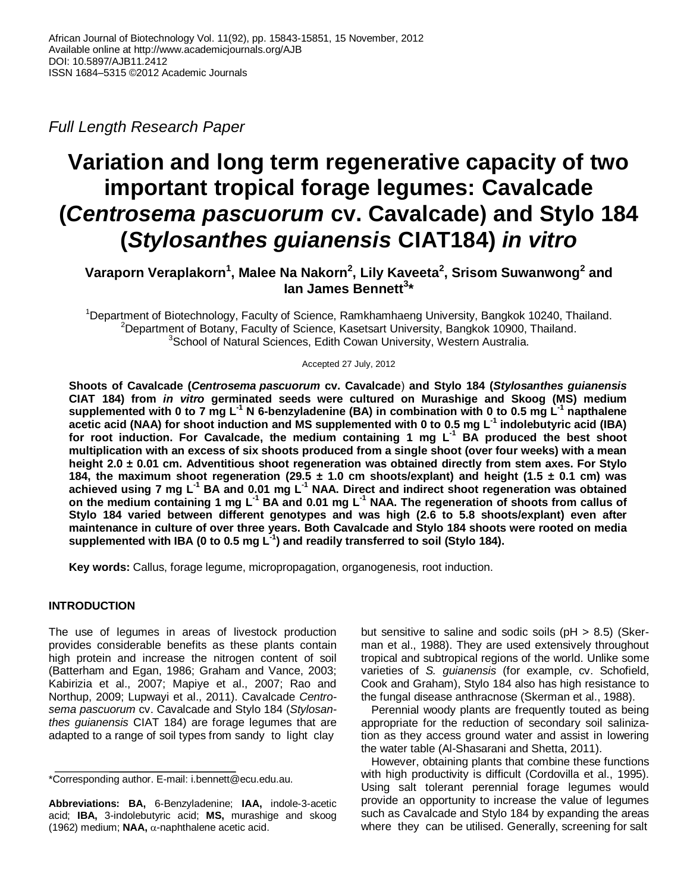*Full Length Research Paper*

# **Variation and long term regenerative capacity of two important tropical forage legumes: Cavalcade (***Centrosema pascuorum* **cv. Cavalcade) and Stylo 184 (***Stylosanthes guianensis* **CIAT184)** *in vitro*

**Varaporn Veraplakorn<sup>1</sup> , Malee Na Nakorn<sup>2</sup> , Lily Kaveeta<sup>2</sup> , Srisom Suwanwong<sup>2</sup> and Ian James Bennett<sup>3</sup> \***

<sup>1</sup>Department of Biotechnology, Faculty of Science, Ramkhamhaeng University, Bangkok 10240, Thailand.  $2$ Department of Botany, Faculty of Science, Kasetsart University, Bangkok 10900, Thailand. <sup>3</sup>School of Natural Sciences, Edith Cowan University, Western Australia.

Accepted 27 July, 2012

**Shoots of Cavalcade (***Centrosema pascuorum* **cv. Cavalcade**) **and Stylo 184 (***Stylosanthes guianensis*  **CIAT 184) from** *in vitro* **germinated seeds were cultured on Murashige and Skoog (MS) medium supplemented with 0 to 7 mg L-1 N 6-benzyladenine (BA) in combination with 0 to 0.5 mg L-1 napthalene acetic acid (NAA) for shoot induction and MS supplemented with 0 to 0.5 mg L-1 indolebutyric acid (IBA) for root induction. For Cavalcade, the medium containing 1 mg L -1 BA produced the best shoot multiplication with an excess of six shoots produced from a single shoot (over four weeks) with a mean height 2.0 ± 0.01 cm. Adventitious shoot regeneration was obtained directly from stem axes. For Stylo 184, the maximum shoot regeneration (29.5 ± 1.0 cm shoots/explant) and height (1.5 ± 0.1 cm) was achieved using 7 mg L-1 BA and 0.01 mg L-1 NAA. Direct and indirect shoot regeneration was obtained on the medium containing 1 mg L-1 BA and 0.01 mg L-1 NAA. The regeneration of shoots from callus of Stylo 184 varied between different genotypes and was high (2.6 to 5.8 shoots/explant) even after maintenance in culture of over three years. Both Cavalcade and Stylo 184 shoots were rooted on media supplemented with IBA (0 to 0.5 mg L-1 ) and readily transferred to soil (Stylo 184).** 

**Key words:** Callus, forage legume, micropropagation, organogenesis, root induction.

## **INTRODUCTION**

The use of legumes in areas of livestock production provides considerable benefits as these plants contain high protein and increase the nitrogen content of soil (Batterham and Egan, 1986; Graham and Vance, 2003; Kabirizia et al., 2007; Mapiye et al., 2007; Rao and Northup, 2009; Lupwayi et al., 2011). Cavalcade *Centrosema pascuorum* cv. Cavalcade and Stylo 184 (*Stylosanthes guianensis* CIAT 184) are forage legumes that are adapted to a range of soil types from sandy to light clay

but sensitive to saline and sodic soils (pH > 8.5) (Skerman et al., 1988). They are used extensively throughout tropical and subtropical regions of the world. Unlike some varieties of *S. guianensis* (for example, cv. Schofield, Cook and Graham), Stylo 184 also has high resistance to the fungal disease anthracnose (Skerman et al., 1988).

Perennial woody plants are frequently touted as being appropriate for the reduction of secondary soil salinization as they access ground water and assist in lowering the water table (Al-Shasarani and Shetta, 2011).

However, obtaining plants that combine these functions with high productivity is difficult (Cordovilla et al., 1995). Using salt tolerant perennial forage legumes would provide an opportunity to increase the value of legumes such as Cavalcade and Stylo 184 by expanding the areas where they can be utilised. Generally, screening for salt

<sup>\*</sup>Corresponding author. E-mail: i.bennett@ecu.edu.au.

**Abbreviations: BA,** 6-Benzyladenine; **IAA,** indole-3-acetic acid; **IBA,** 3-indolebutyric acid; **MS,** murashige and skoog (1962) medium; **NAA**,  $\alpha$ -naphthalene acetic acid.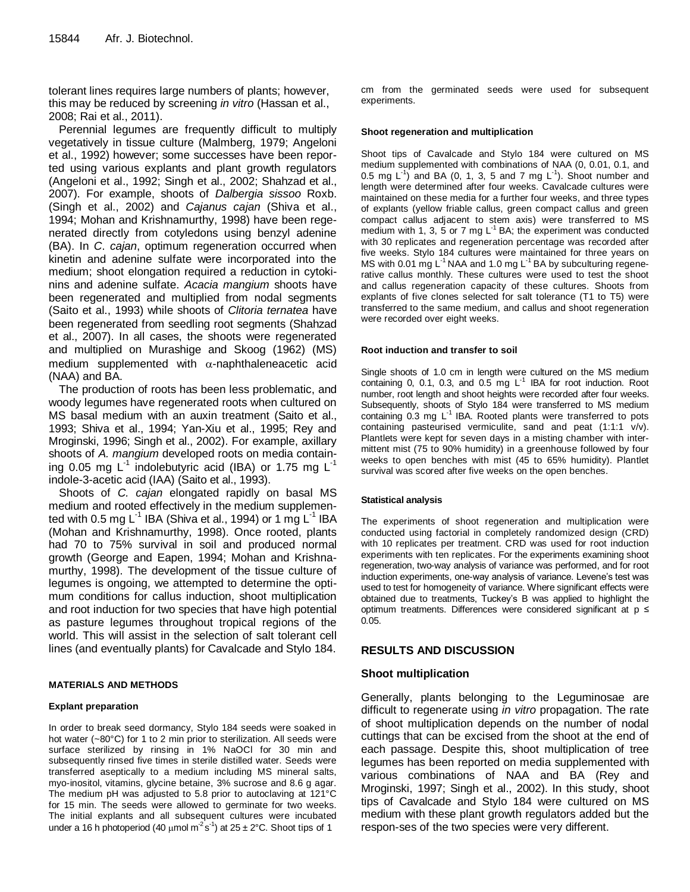tolerant lines requires large numbers of plants; however, this may be reduced by screening *in vitro* (Hassan et al., 2008; Rai et al., 2011).

Perennial legumes are frequently difficult to multiply vegetatively in tissue culture (Malmberg, 1979; Angeloni et al., 1992) however; some successes have been reported using various explants and plant growth regulators (Angeloni et al., 1992; Singh et al., 2002; Shahzad et al., 2007). For example, shoots of *Dalbergia sissoo* Roxb. (Singh et al., 2002) and *Cajanus cajan* (Shiva et al., 1994; Mohan and Krishnamurthy, 1998) have been regenerated directly from cotyledons using benzyl adenine (BA). In *C*. *cajan*, optimum regeneration occurred when kinetin and adenine sulfate were incorporated into the medium; shoot elongation required a reduction in cytokinins and adenine sulfate. *Acacia mangium* shoots have been regenerated and multiplied from nodal segments (Saito et al., 1993) while shoots of *Clitoria ternatea* have been regenerated from seedling root segments (Shahzad et al., 2007). In all cases, the shoots were regenerated and multiplied on Murashige and Skoog (1962) (MS) medium supplemented with  $\alpha$ -naphthaleneacetic acid (NAA) and BA.

The production of roots has been less problematic, and woody legumes have regenerated roots when cultured on MS basal medium with an auxin treatment (Saito et al., 1993; Shiva et al., 1994; Yan-Xiu et al., 1995; Rey and Mroginski, 1996; Singh et al., 2002). For example, axillary shoots of *A. mangium* developed roots on media containing 0.05 mg L<sup>-1</sup> indolebutyric acid (IBA) or 1.75 mg L<sup>-1</sup> indole-3-acetic acid (IAA) (Saito et al., 1993).

Shoots of *C. cajan* elongated rapidly on basal MS medium and rooted effectively in the medium supplemented with 0.5 mg L<sup>-1</sup> IBA (Shiva et al., 1994) or 1 mg L<sup>-1</sup> IBA (Mohan and Krishnamurthy, 1998). Once rooted, plants had 70 to 75% survival in soil and produced normal growth (George and Eapen, 1994; Mohan and Krishnamurthy, 1998). The development of the tissue culture of legumes is ongoing, we attempted to determine the optimum conditions for callus induction, shoot multiplication and root induction for two species that have high potential as pasture legumes throughout tropical regions of the world. This will assist in the selection of salt tolerant cell lines (and eventually plants) for Cavalcade and Stylo 184.

#### **MATERIALS AND METHODS**

#### **Explant preparation**

In order to break seed dormancy, Stylo 184 seeds were soaked in hot water (~80°C) for 1 to 2 min prior to sterilization. All seeds were surface sterilized by rinsing in 1% NaOCl for 30 min and subsequently rinsed five times in sterile distilled water. Seeds were transferred aseptically to a medium including MS mineral salts, myo-inositol, vitamins, glycine betaine, 3% sucrose and 8.6 g agar. The medium pH was adjusted to 5.8 prior to autoclaving at 121°C for 15 min. The seeds were allowed to germinate for two weeks. The initial explants and all subsequent cultures were incubated under a 16 h photoperiod (40  $\mu$ mol m<sup>-2</sup>s<sup>-1</sup>) at 25 ± 2°C. Shoot tips of 1

cm from the germinated seeds were used for subsequent experiments.

#### **Shoot regeneration and multiplication**

Shoot tips of Cavalcade and Stylo 184 were cultured on MS medium supplemented with combinations of NAA (0, 0.01, 0.1, and 0.5 mg  $L^{-1}$ ) and BA (0, 1, 3, 5 and 7 mg  $L^{-1}$ ). Shoot number and length were determined after four weeks. Cavalcade cultures were maintained on these media for a further four weeks, and three types of explants (yellow friable callus, green compact callus and green compact callus adjacent to stem axis) were transferred to MS medium with 1, 3, 5 or 7 mg  $L^{-1}$  BA; the experiment was conducted with 30 replicates and regeneration percentage was recorded after five weeks. Stylo 184 cultures were maintained for three years on MS with 0.01 mg  $L^{-1}$  NAA and 1.0 mg  $L^{-1}$  BA by subculturing regenerative callus monthly. These cultures were used to test the shoot and callus regeneration capacity of these cultures. Shoots from explants of five clones selected for salt tolerance (T1 to T5) were transferred to the same medium, and callus and shoot regeneration were recorded over eight weeks.

#### **Root induction and transfer to soil**

Single shoots of 1.0 cm in length were cultured on the MS medium containing 0, 0.1, 0.3, and 0.5 mg  $L^{-1}$  IBA for root induction. Root number, root length and shoot heights were recorded after four weeks. Subsequently, shoots of Stylo 184 were transferred to MS medium containing 0.3 mg L-1 IBA. Rooted plants were transferred to pots containing pasteurised vermiculite, sand and peat (1:1:1 v/v). Plantlets were kept for seven days in a misting chamber with intermittent mist (75 to 90% humidity) in a greenhouse followed by four weeks to open benches with mist (45 to 65% humidity). Plantlet survival was scored after five weeks on the open benches.

#### **Statistical analysis**

The experiments of shoot regeneration and multiplication were conducted using factorial in completely randomized design (CRD) with 10 replicates per treatment. CRD was used for root induction experiments with ten replicates. For the experiments examining shoot regeneration, two-way analysis of variance was performed, and for root induction experiments, one-way analysis of variance. Levene's test was used to test for homogeneity of variance. Where significant effects were obtained due to treatments, Tuckey's B was applied to highlight the optimum treatments. Differences were considered significant at p ≤ 0.05.

## **RESULTS AND DISCUSSION**

## **Shoot multiplication**

Generally, plants belonging to the Leguminosae are difficult to regenerate using *in vitro* propagation. The rate of shoot multiplication depends on the number of nodal cuttings that can be excised from the shoot at the end of each passage. Despite this, shoot multiplication of tree legumes has been reported on media supplemented with various combinations of NAA and BA (Rey and Mroginski, 1997; Singh et al., 2002). In this study, shoot tips of Cavalcade and Stylo 184 were cultured on MS medium with these plant growth regulators added but the respon-ses of the two species were very different.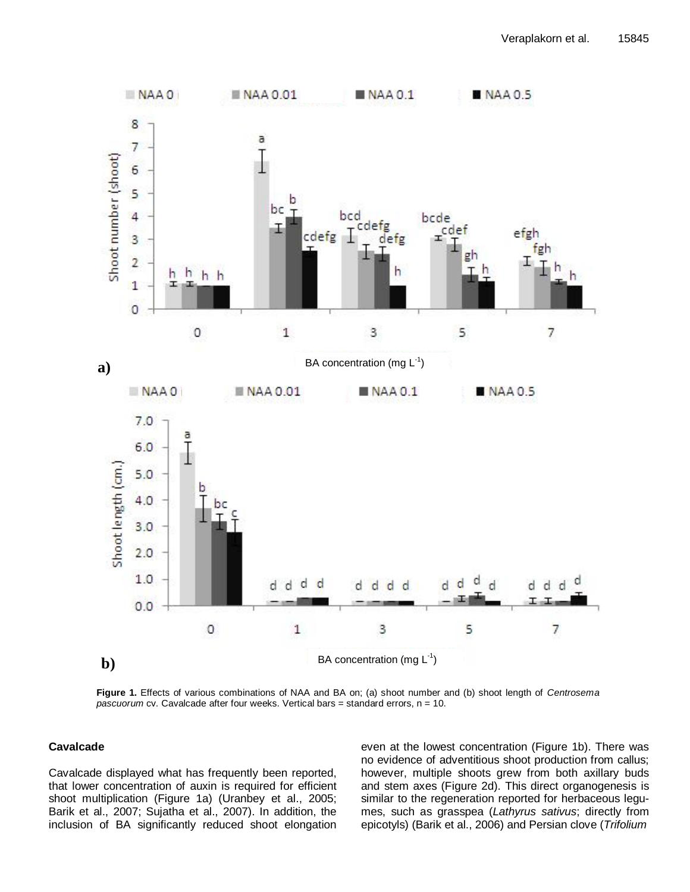

**Figure 1.** Effects of various combinations of NAA and BA on; (a) shoot number and (b) shoot length of *Centrosema pascuorum* cv. Cavalcade after four weeks. Vertical bars = standard errors, n = 10.

## **Cavalcade**

Cavalcade displayed what has frequently been reported, that lower concentration of auxin is required for efficient shoot multiplication (Figure 1a) (Uranbey et al., 2005; Barik et al., 2007; Sujatha et al., 2007). In addition, the inclusion of BA significantly reduced shoot elongation even at the lowest concentration (Figure 1b). There was no evidence of adventitious shoot production from callus; however, multiple shoots grew from both axillary buds and stem axes (Figure 2d). This direct organogenesis is similar to the regeneration reported for herbaceous legumes, such as grasspea (*Lathyrus sativus*; directly from epicotyls) (Barik et al., 2006) and Persian clove (*Trifolium*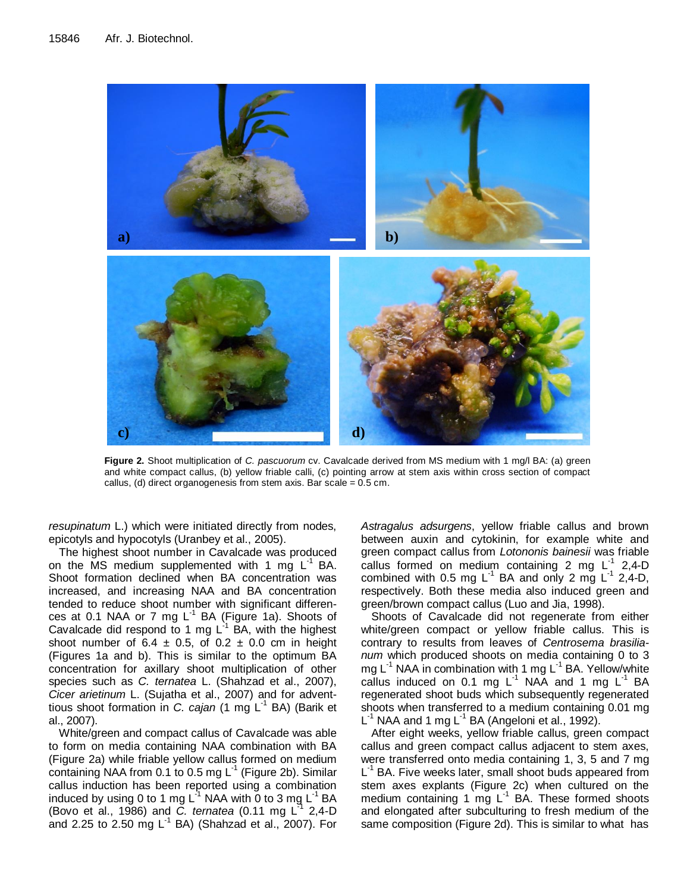

**Figure 2.** Shoot multiplication of *C. pascuorum* cv. Cavalcade derived from MS medium with 1 mg/l BA: (a) green and white compact callus, (b) yellow friable calli, (c) pointing arrow at stem axis within cross section of compact callus, (d) direct organogenesis from stem axis. Bar scale = 0.5 cm.

*resupinatum* L.) which were initiated directly from nodes, epicotyls and hypocotyls (Uranbey et al., 2005).

The highest shoot number in Cavalcade was produced on the MS medium supplemented with 1 mg  $L^{-1}$  BA. Shoot formation declined when BA concentration was increased, and increasing NAA and BA concentration tended to reduce shoot number with significant differences at 0.1 NAA or 7 mg  $L^{-1}$  BA (Figure 1a). Shoots of Cavalcade did respond to 1 mg  $L^{-1}$  BA, with the highest shoot number of  $6.4 \pm 0.5$ , of  $0.2 \pm 0.0$  cm in height (Figures 1a and b). This is similar to the optimum BA concentration for axillary shoot multiplication of other species such as *C. ternatea* L. (Shahzad et al., 2007), *Cicer arietinum* L. (Sujatha et al., 2007) and for adventtious shoot formation in *C. cajan* (1 mg L-1 BA) (Barik et al., 2007).

White/green and compact callus of Cavalcade was able to form on media containing NAA combination with BA (Figure 2a) while friable yellow callus formed on medium containing NAA from 0.1 to 0.5 mg  $L^{-1}$  (Figure 2b). Similar callus induction has been reported using a combination induced by using 0 to 1 mg L<sup>-1</sup> NAA with 0 to 3 mg L<sup>-1</sup> BA (Bovo et al., 1986) and *C. ternatea* (0.11 mg L<sup>3</sup> 2,4-D and 2.25 to 2.50 mg  $L^{-1}$  BA) (Shahzad et al., 2007). For

*Astragalus adsurgens*, yellow friable callus and brown between auxin and cytokinin, for example white and green compact callus from *Lotononis bainesii* was friable callus formed on medium containing  $2 \text{ mg } L^1$  2,4-D combined with 0.5 mg  $L^{-1}$  BA and only 2 mg  $L^{-1}$  2,4-D, respectively. Both these media also induced green and green/brown compact callus (Luo and Jia, 1998).

Shoots of Cavalcade did not regenerate from either white/green compact or yellow friable callus. This is contrary to results from leaves of *Centrosema brasilianum* which produced shoots on media containing 0 to 3 mg  $L^{-1}$  NAA in combination with 1 mg  $L^{-1}$  BA. Yellow/white callus induced on 0.1 mg  $L^{-1}$  NAA and 1 mg  $L^{-1}$  BA regenerated shoot buds which subsequently regenerated shoots when transferred to a medium containing 0.01 mg  $L^{-1}$  NAA and 1 mg  $L^{-1}$  BA (Angeloni et al., 1992).

After eight weeks, yellow friable callus, green compact callus and green compact callus adjacent to stem axes, were transferred onto media containing 1, 3, 5 and 7 mg L<sup>-1</sup> BA. Five weeks later, small shoot buds appeared from stem axes explants (Figure 2c) when cultured on the medium containing 1 mg  $L^{-1}$  BA. These formed shoots and elongated after subculturing to fresh medium of the same composition (Figure 2d). This is similar to what has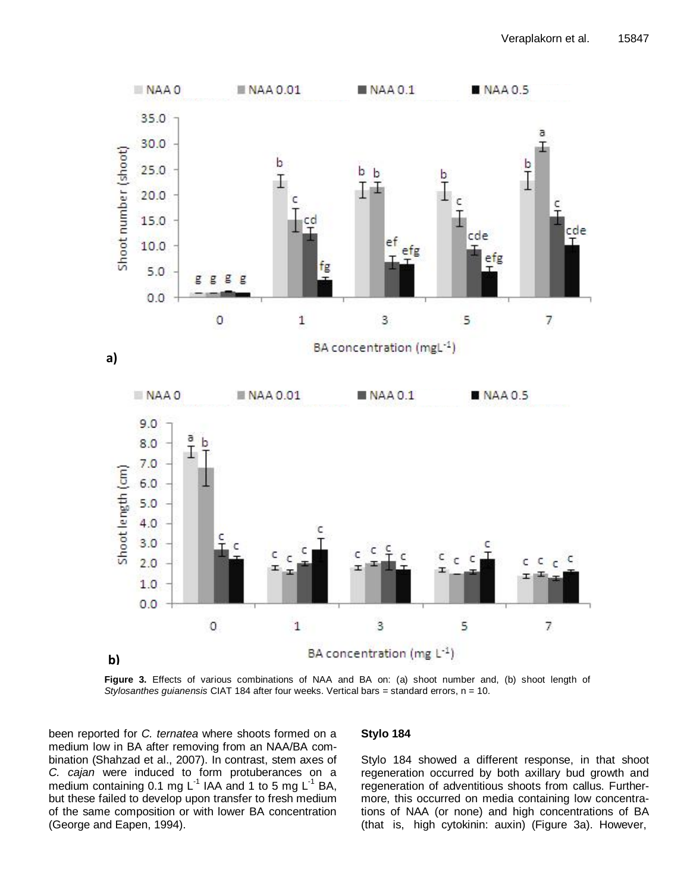

**Figure 3.** Effects of various combinations of NAA and BA on: (a) shoot number and, (b) shoot length of *Stylosanthes guianensis* CIAT 184 after four weeks. Vertical bars = standard errors, n = 10.

been reported for *C. ternatea* where shoots formed on a medium low in BA after removing from an NAA/BA combination (Shahzad et al., 2007). In contrast, stem axes of *C. cajan* were induced to form protuberances on a medium containing 0.1 mg  $L^{-1}$  IAA and 1 to 5 mg  $L^{-1}$  BA, but these failed to develop upon transfer to fresh medium of the same composition or with lower BA concentration (George and Eapen, 1994).

#### **Stylo 184**

Stylo 184 showed a different response, in that shoot regeneration occurred by both axillary bud growth and regeneration of adventitious shoots from callus. Furthermore, this occurred on media containing low concentrations of NAA (or none) and high concentrations of BA (that is, high cytokinin: auxin) (Figure 3a). However,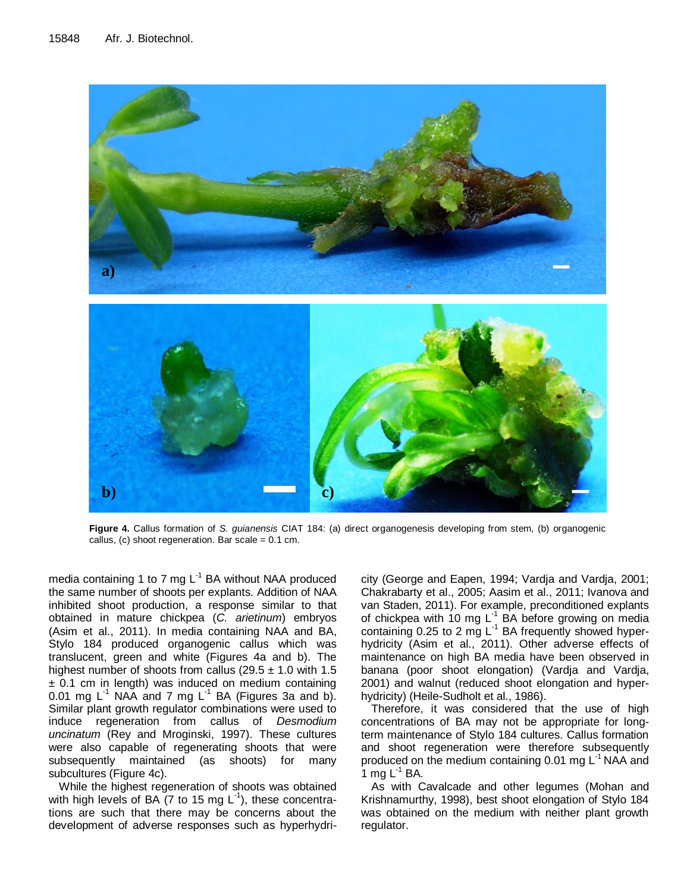

**Figure 4.** Callus formation of *S. guianensis* CIAT 184: (a) direct organogenesis developing from stem, (b) organogenic callus,  $(c)$  shoot regeneration. Bar scale =  $0.1$  cm.

media containing 1 to 7 mg  $L^{-1}$  BA without NAA produced the same number of shoots per explants. Addition of NAA inhibited shoot production, a response similar to that obtained in mature chickpea (*C. arietinum*) embryos (Asim et al., 2011). In media containing NAA and BA, Stylo 184 produced organogenic callus which was translucent, green and white (Figures 4a and b). The highest number of shoots from callus (29.5  $\pm$  1.0 with 1.5 ± 0.1 cm in length) was induced on medium containing 0.01 mg  $L^{-1}$  NAA and 7 mg  $L^{-1}$  BA (Figures 3a and b). Similar plant growth regulator combinations were used to induce regeneration from callus of *Desmodium uncinatum* (Rey and Mroginski, 1997). These cultures were also capable of regenerating shoots that were subsequently maintained (as shoots) for many subcultures (Figure 4c).

While the highest regeneration of shoots was obtained with high levels of BA  $(7$  to 15 mg L<sup>-1</sup>), these concentrations are such that there may be concerns about the development of adverse responses such as hyperhydricity (George and Eapen, 1994; Vardja and Vardja, 2001; Chakrabarty et al., 2005; Aasim et al., 2011; Ivanova and van Staden, 2011). For example, preconditioned explants of chickpea with 10 mg  $L^{-1}$  BA before growing on media containing 0.25 to 2 mg  $L^{-1}$  BA frequently showed hyperhydricity (Asim et al., 2011). Other adverse effects of maintenance on high BA media have been observed in banana (poor shoot elongation) (Vardja and Vardja, 2001) and walnut (reduced shoot elongation and hyperhydricity) (Heile-Sudholt et al., 1986).

Therefore, it was considered that the use of high concentrations of BA may not be appropriate for longterm maintenance of Stylo 184 cultures. Callus formation and shoot regeneration were therefore subsequently produced on the medium containing  $0.01$  mg  $L^{-1}$  NAA and 1 mg  $L^{-1}$  BA.

As with Cavalcade and other legumes (Mohan and Krishnamurthy, 1998), best shoot elongation of Stylo 184 was obtained on the medium with neither plant growth regulator.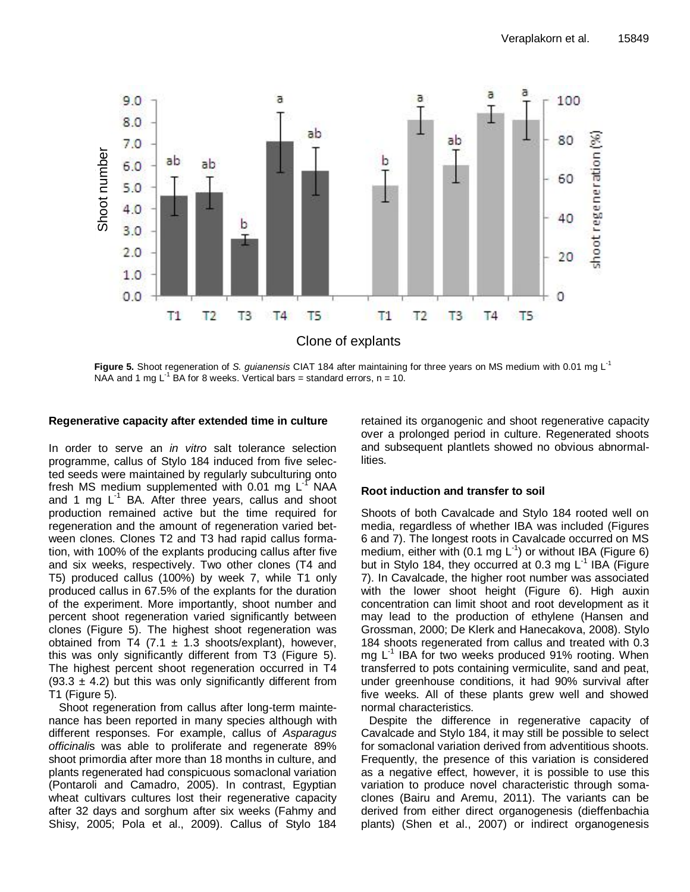

**Figure 5.** Shoot regeneration of *S. guianensis* CIAT 184 after maintaining for three years on MS medium with 0.01 mg L-1 NAA and 1 mg  $L^{-1}$  BA for 8 weeks. Vertical bars = standard errors,  $n = 10$ .

## **Regenerative capacity after extended time in culture**

In order to serve an *in vitro* salt tolerance selection programme, callus of Stylo 184 induced from five selected seeds were maintained by regularly subculturing onto fresh MS medium supplemented with 0.01 mg L<sup>- $\text{F}$ </sup> NAA and 1 mg  $L^{-1}$  BA. After three years, callus and shoot production remained active but the time required for regeneration and the amount of regeneration varied between clones. Clones T2 and T3 had rapid callus formation, with 100% of the explants producing callus after five and six weeks, respectively. Two other clones (T4 and T5) produced callus (100%) by week 7, while T1 only produced callus in 67.5% of the explants for the duration of the experiment. More importantly, shoot number and percent shoot regeneration varied significantly between clones (Figure 5). The highest shoot regeneration was obtained from T4 (7.1  $\pm$  1.3 shoots/explant), however, this was only significantly different from T3 (Figure 5). The highest percent shoot regeneration occurred in T4  $(93.3 \pm 4.2)$  but this was only significantly different from T1 (Figure 5).

Shoot regeneration from callus after long-term maintenance has been reported in many species although with different responses. For example, callus of *Asparagus officinali*s was able to proliferate and regenerate 89% shoot primordia after more than 18 months in culture, and plants regenerated had conspicuous somaclonal variation (Pontaroli and Camadro, 2005). In contrast, Egyptian wheat cultivars cultures lost their regenerative capacity after 32 days and sorghum after six weeks (Fahmy and Shisy, 2005; Pola et al., 2009). Callus of Stylo 184 retained its organogenic and shoot regenerative capacity over a prolonged period in culture. Regenerated shoots and subsequent plantlets showed no obvious abnormallities.

## **Root induction and transfer to soil**

Shoots of both Cavalcade and Stylo 184 rooted well on media, regardless of whether IBA was included (Figures 6 and 7). The longest roots in Cavalcade occurred on MS medium, either with (0.1 mg  $L^{-1}$ ) or without IBA (Figure 6) but in Stylo 184, they occurred at 0.3 mg L<sup>-1</sup> IBA (Figure 7). In Cavalcade, the higher root number was associated with the lower shoot height (Figure 6). High auxin concentration can limit shoot and root development as it may lead to the production of ethylene (Hansen and Grossman, 2000; De Klerk and Hanecakova, 2008). Stylo 184 shoots regenerated from callus and treated with 0.3 mg L<sup>-1</sup> IBA for two weeks produced 91% rooting. When transferred to pots containing vermiculite, sand and peat, under greenhouse conditions, it had 90% survival after five weeks. All of these plants grew well and showed normal characteristics.

Despite the difference in regenerative capacity of Cavalcade and Stylo 184, it may still be possible to select for somaclonal variation derived from adventitious shoots. Frequently, the presence of this variation is considered as a negative effect, however, it is possible to use this variation to produce novel characteristic through somaclones (Bairu and Aremu, 2011). The variants can be derived from either direct organogenesis (dieffenbachia plants) (Shen et al., 2007) or indirect organogenesis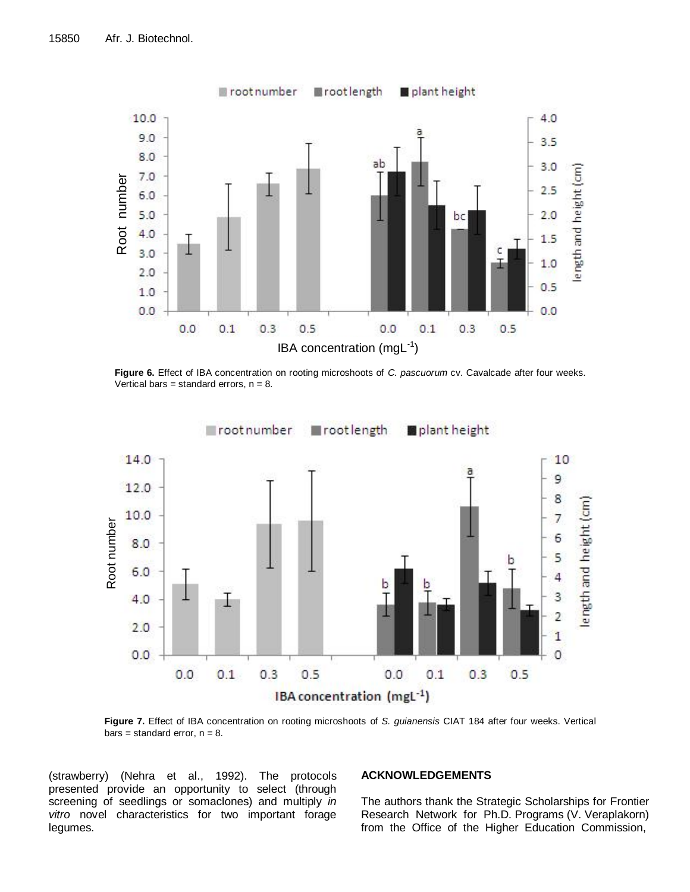

**Figure 6.** Effect of IBA concentration on rooting microshoots of *C. pascuorum* cv. Cavalcade after four weeks. Vertical bars = standard errors,  $n = 8$ .



**Figure 7.** Effect of IBA concentration on rooting microshoots of *S. guianensis* CIAT 184 after four weeks. Vertical bars = standard error,  $n = 8$ .

(strawberry) (Nehra et al., 1992). The protocols presented provide an opportunity to select (through screening of seedlings or somaclones) and multiply *in vitro* novel characteristics for two important forage legumes.

## **ACKNOWLEDGEMENTS**

The authors thank the Strategic Scholarships for Frontier Research Network for Ph.D. Programs (V. Veraplakorn) from the Office of the Higher Education Commission,